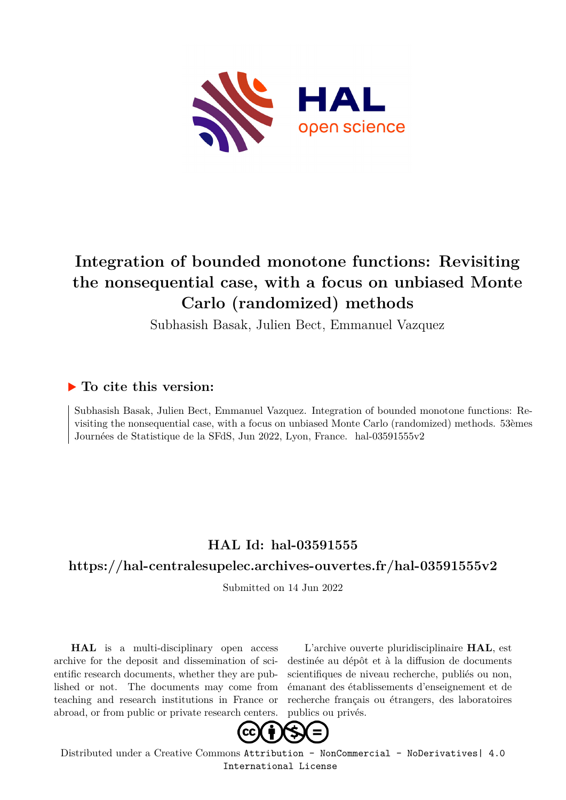

# **Integration of bounded monotone functions: Revisiting the nonsequential case, with a focus on unbiased Monte Carlo (randomized) methods**

Subhasish Basak, Julien Bect, Emmanuel Vazquez

### **To cite this version:**

Subhasish Basak, Julien Bect, Emmanuel Vazquez. Integration of bounded monotone functions: Revisiting the nonsequential case, with a focus on unbiased Monte Carlo (randomized) methods. 53èmes Journées de Statistique de la SFdS, Jun 2022, Lyon, France. hal-03591555v2

# **HAL Id: hal-03591555**

#### **<https://hal-centralesupelec.archives-ouvertes.fr/hal-03591555v2>**

Submitted on 14 Jun 2022

**HAL** is a multi-disciplinary open access archive for the deposit and dissemination of scientific research documents, whether they are published or not. The documents may come from teaching and research institutions in France or abroad, or from public or private research centers.

L'archive ouverte pluridisciplinaire **HAL**, est destinée au dépôt et à la diffusion de documents scientifiques de niveau recherche, publiés ou non, émanant des établissements d'enseignement et de recherche français ou étrangers, des laboratoires publics ou privés.



Distributed under a Creative Commons [Attribution - NonCommercial - NoDerivatives| 4.0](http://creativecommons.org/licenses/by-nc-nd/4.0/) [International License](http://creativecommons.org/licenses/by-nc-nd/4.0/)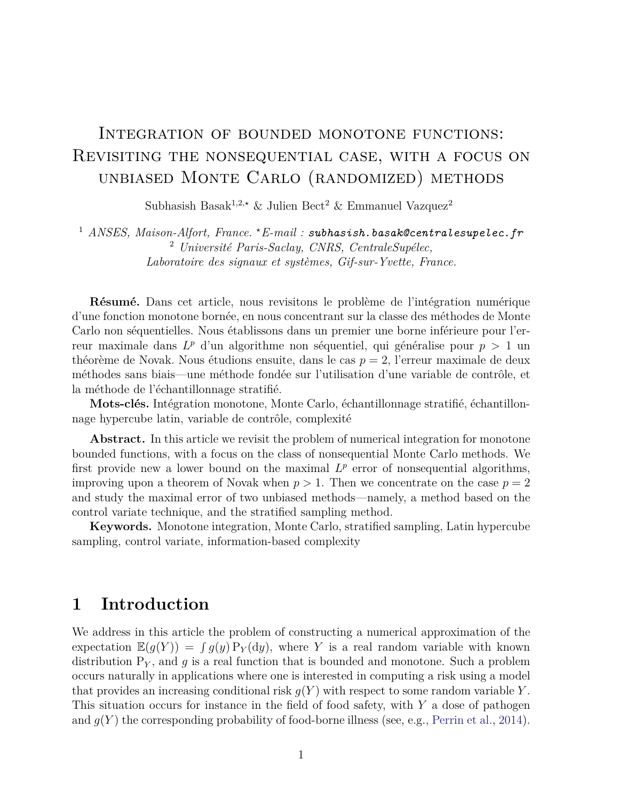# INTEGRATION OF BOUNDED MONOTONE FUNCTIONS: Revisiting the nonsequential case, with a focus on unbiased Monte Carlo (randomized) methods

Subhasish Basak<sup>1,2,★</sup> & Julien Bect<sup>2</sup> & Emmanuel Vazquez<sup>2</sup>

<sup>1</sup> *ANSES, Maison-Alfort, France. <sup>⋆</sup>E-mail : subhasish.basak@centralesupelec.fr* <sup>2</sup> *Université Paris-Saclay, CNRS, CentraleSupélec, Laboratoire des signaux et systèmes, Gif-sur-Yvette, France.*

**Résumé.** Dans cet article, nous revisitons le problème de l'intégration numérique d'une fonction monotone bornée, en nous concentrant sur la classe des méthodes de Monte Carlo non séquentielles. Nous établissons dans un premier une borne inférieure pour l'erreur maximale dans *L <sup>p</sup>* d'un algorithme non séquentiel, qui généralise pour *p >* 1 un théorème de Novak. Nous étudions ensuite, dans le cas *p* = 2, l'erreur maximale de deux méthodes sans biais—une méthode fondée sur l'utilisation d'une variable de contrôle, et la méthode de l'échantillonnage stratifié.

**Mots-clés.** Intégration monotone, Monte Carlo, échantillonnage stratifié, échantillonnage hypercube latin, variable de contrôle, complexité

**Abstract.** In this article we revisit the problem of numerical integration for monotone bounded functions, with a focus on the class of nonsequential Monte Carlo methods. We first provide new a lower bound on the maximal  $L^p$  error of nonsequential algorithms, improving upon a theorem of Novak when  $p > 1$ . Then we concentrate on the case  $p = 2$ and study the maximal error of two unbiased methods—namely, a method based on the control variate technique, and the stratified sampling method.

**Keywords.** Monotone integration, Monte Carlo, stratified sampling, Latin hypercube sampling, control variate, information-based complexity

## **1 Introduction**

We address in this article the problem of constructing a numerical approximation of the expectation  $\mathbb{E}(g(Y)) = \int g(y) P_Y(dy)$ , where *Y* is a real random variable with known distribution  $P_Y$ , and g is a real function that is bounded and monotone. Such a problem occurs naturally in applications where one is interested in computing a risk using a model that provides an increasing conditional risk  $g(Y)$  with respect to some random variable Y. This situation occurs for instance in the field of food safety, with *Y* a dose of pathogen and  $q(Y)$  the corresponding probability of food-borne illness (see, e.g., Perrin et al., 2014).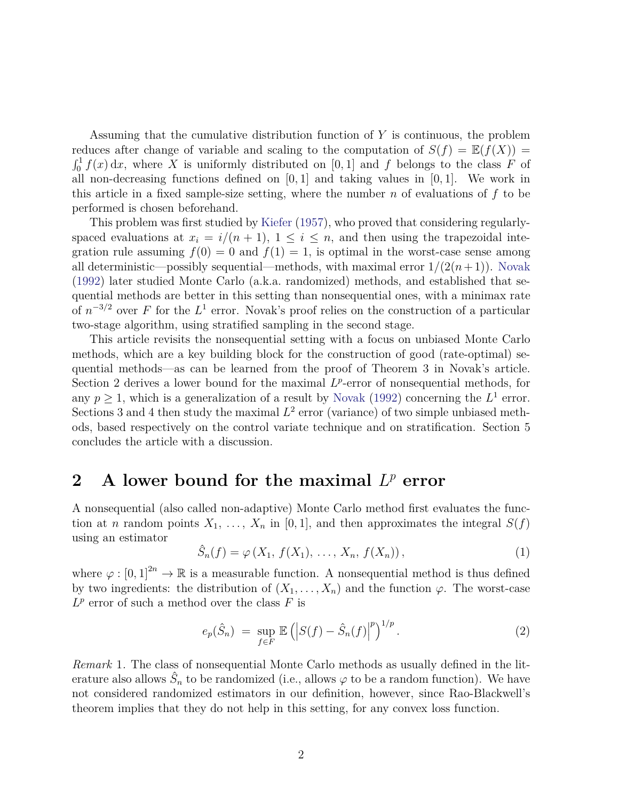Assuming that the cumulative distribution function of *Y* is continuous, the problem reduces after change of variable and scaling to the computation of  $S(f) = \mathbb{E}(f(X))$  $\int_0^1 f(x) dx$ , where *X* is uniformly distributed on [0, 1] and *f* belongs to the class *F* of all non-decreasing functions defined on [0*,* 1] and taking values in [0*,* 1]. We work in this article in a fixed sample-size setting, where the number *n* of evaluations of *f* to be performed is chosen beforehand.

This problem was first studied by Kiefer (1957), who proved that considering regularlyspaced evaluations at  $x_i = i/(n + 1)$ ,  $1 \le i \le n$ , and then using the trapezoidal integration rule assuming  $f(0) = 0$  and  $f(1) = 1$ , is optimal in the worst-case sense among all deterministic—possibly sequential—methods, with maximal error  $1/(2(n+1))$ . Novak (1992) later studied Monte Carlo (a.k.a. randomized) methods, and established that sequential methods are better in this setting than nonsequential ones, with a minimax rate of  $n^{-3/2}$  over *F* for the *L*<sup>1</sup> error. Novak's proof relies on the construction of a particular two-stage algorithm, using stratified sampling in the second stage.

This article revisits the nonsequential setting with a focus on unbiased Monte Carlo methods, which are a key building block for the construction of good (rate-optimal) sequential methods—as can be learned from the proof of Theorem 3 in Novak's article. Section 2 derives a lower bound for the maximal  $L^p$ -error of nonsequential methods, for any  $p \geq 1$ , which is a generalization of a result by Novak (1992) concerning the  $L^1$  error. Sections 3 and 4 then study the maximal  $L^2$  error (variance) of two simple unbiased methods, based respectively on the control variate technique and on stratification. Section 5 concludes the article with a discussion.

# **2** A lower bound for the maximal  $L^p$  error

A nonsequential (also called non-adaptive) Monte Carlo method first evaluates the function at *n* random points  $X_1, \ldots, X_n$  in [0, 1], and then approximates the integral  $S(f)$ using an estimator

$$
\hat{S}_n(f) = \varphi(X_1, f(X_1), \dots, X_n, f(X_n)), \qquad (1)
$$

where  $\varphi : [0,1]^{2n} \to \mathbb{R}$  is a measurable function. A nonsequential method is thus defined by two ingredients: the distribution of  $(X_1, \ldots, X_n)$  and the function  $\varphi$ . The worst-case  $L^p$  error of such a method over the class *F* is

$$
e_p(\hat{S}_n) = \sup_{f \in F} \mathbb{E} \left( \left| S(f) - \hat{S}_n(f) \right|^p \right)^{1/p} . \tag{2}
$$

*Remark* 1*.* The class of nonsequential Monte Carlo methods as usually defined in the literature also allows  $\hat{S}_n$  to be randomized (i.e., allows  $\varphi$  to be a random function). We have not considered randomized estimators in our definition, however, since Rao-Blackwell's theorem implies that they do not help in this setting, for any convex loss function.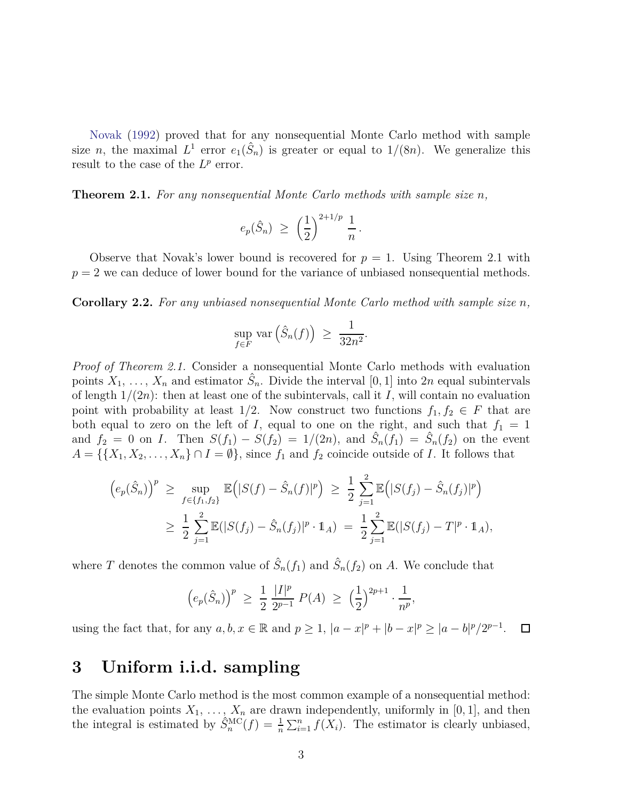Novak (1992) proved that for any nonsequential Monte Carlo method with sample size *n*, the maximal  $L^1$  error  $e_1(\hat{S}_n)$  is greater or equal to  $1/(8n)$ . We generalize this result to the case of the  $L^p$  error.

**Theorem 2.1.** *For any nonsequential Monte Carlo methods with sample size n,*

$$
e_p(\hat{S}_n) \geq \left(\frac{1}{2}\right)^{2+1/p} \frac{1}{n}.
$$

Observe that Novak's lower bound is recovered for  $p = 1$ . Using Theorem 2.1 with  $p = 2$  we can deduce of lower bound for the variance of unbiased nonsequential methods.

**Corollary 2.2.** *For any unbiased nonsequential Monte Carlo method with sample size n,*

$$
\sup_{f \in F} \text{var}(\hat{S}_n(f)) \ge \frac{1}{32n^2}.
$$

*Proof of Theorem 2.1.* Consider a nonsequential Monte Carlo methods with evaluation points  $X_1, \ldots, X_n$  and estimator  $\hat{S}_n$ . Divide the interval [0, 1] into 2*n* equal subintervals of length  $1/(2n)$ : then at least one of the subintervals, call it *I*, will contain no evaluation point with probability at least  $1/2$ . Now construct two functions  $f_1, f_2 \in F$  that are both equal to zero on the left of *I*, equal to one on the right, and such that  $f_1 = 1$ and  $f_2 = 0$  on *I*. Then  $S(f_1) - S(f_2) = 1/(2n)$ , and  $\hat{S}_n(f_1) = \hat{S}_n(f_2)$  on the event  $A = \{\{X_1, X_2, \ldots, X_n\} \cap I = \emptyset\}$ , since  $f_1$  and  $f_2$  coincide outside of *I*. It follows that

$$
\begin{aligned}\n\left(e_p(\hat{S}_n)\right)^p &\geq \sup_{f \in \{f_1, f_2\}} \mathbb{E}\Big(|S(f) - \hat{S}_n(f)|^p\Big) \geq \frac{1}{2} \sum_{j=1}^2 \mathbb{E}\Big(|S(f_j) - \hat{S}_n(f_j)|^p\Big) \\
&\geq \frac{1}{2} \sum_{j=1}^2 \mathbb{E}(|S(f_j) - \hat{S}_n(f_j)|^p \cdot \mathbb{1}_A) = \frac{1}{2} \sum_{j=1}^2 \mathbb{E}(|S(f_j) - T|^p \cdot \mathbb{1}_A),\n\end{aligned}
$$

where *T* denotes the common value of  $\hat{S}_n(f_1)$  and  $\hat{S}_n(f_2)$  on *A*. We conclude that

$$
\left(e_p(\hat{S}_n)\right)^p \ge \frac{1}{2} \frac{|I|^p}{2^{p-1}} P(A) \ge \left(\frac{1}{2}\right)^{2p+1} \cdot \frac{1}{n^p},
$$

using the fact that, for any  $a, b, x \in \mathbb{R}$  and  $p \ge 1$ ,  $|a-x|^p + |b-x|^p \ge |a-b|^p/2^{p-1}$ .  $\Box$ 

### **3 Uniform i.i.d. sampling**

The simple Monte Carlo method is the most common example of a nonsequential method: the evaluation points  $X_1, \ldots, X_n$  are drawn independently, uniformly in [0, 1], and then the integral is estimated by  $\hat{S}_n^{\text{MC}}(f) = \frac{1}{n} \sum_{i=1}^n f(X_i)$ . The estimator is clearly unbiased,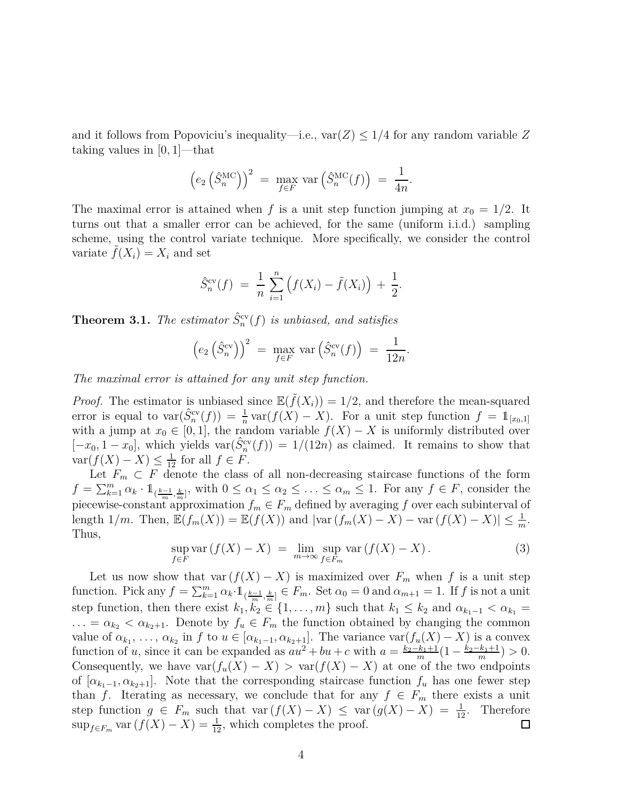and it follows from Popoviciu's inequality—i.e.,  $var(Z) \leq 1/4$  for any random variable Z taking values in [0*,* 1]—that

$$
\left(e_2\left(\hat{S}_n^{\text{MC}}\right)\right)^2 = \max_{f \in F} \text{var}\left(\hat{S}_n^{\text{MC}}(f)\right) = \frac{1}{4n}.
$$

The maximal error is attained when f is a unit step function jumping at  $x_0 = 1/2$ . It turns out that a smaller error can be achieved, for the same (uniform i.i.d.) sampling scheme, using the control variate technique. More specifically, we consider the control variate  $f(X_i) = X_i$  and set

$$
\hat{S}_n^{\text{cv}}(f) = \frac{1}{n} \sum_{i=1}^n \left( f(X_i) - \tilde{f}(X_i) \right) + \frac{1}{2}.
$$

**Theorem 3.1.** *The estimator*  $\hat{S}_n^{\text{cv}}(f)$  *is unbiased, and satisfies* 

$$
\left(e_2\left(\hat{S}_n^{\text{cv}}\right)\right)^2 = \max_{f \in F} \text{var}\left(\hat{S}_n^{\text{cv}}(f)\right) = \frac{1}{12n}.
$$

*The maximal error is attained for any unit step function.*

*Proof.* The estimator is unbiased since  $\mathbb{E}(\tilde{f}(X_i)) = 1/2$ , and therefore the mean-squared error is equal to  $\text{var}(\hat{S}_n^{\text{cv}}(f)) = \frac{1}{n} \text{var}(f(X) - X)$ . For a unit step function  $f = 1_{[x_0,1]}$ with a jump at  $x_0 \in [0,1]$ , the random variable  $f(X) - X$  is uniformly distributed over  $[-x_0, 1 - x_0]$ , which yields var $(\hat{S}_n^{\text{cv}}(f)) = 1/(12n)$  as claimed. It remains to show that  $\text{var}(f(X) - X) \leq \frac{1}{12}$  for all  $f \in F$ .

Let  $F_m \subset F$  denote the class of all non-decreasing staircase functions of the form  $f = \sum_{k=1}^m \alpha_k \cdot 1_{(\frac{k-1}{m}, \frac{k}{m}]},$  with  $0 \le \alpha_1 \le \alpha_2 \le \ldots \le \alpha_m \le 1$ . For any  $f \in F$ , consider the piecewise-constant approximation  $f_m \in F_m$  defined by averaging f over each subinterval of length  $1/m$ . Then,  $\mathbb{E}(f_m(X)) = \mathbb{E}(f(X))$  and  $|\text{var}(f_m(X) - X) - \text{var}(f(X) - X)| \leq \frac{1}{m}$ . Thus,

$$
\sup_{f \in F} \text{var}(f(X) - X) = \lim_{m \to \infty} \sup_{f \in F_m} \text{var}(f(X) - X). \tag{3}
$$

Let us now show that var  $(f(X) - X)$  is maximized over  $F_m$  when f is a unit step function. Pick any  $f = \sum_{k=1}^{m} \alpha_k \cdot 1_{(\frac{k-1}{m}, \frac{k}{m}]} \in F_m$ . Set  $\alpha_0 = 0$  and  $\alpha_{m+1} = 1$ . If *f* is not a unit step function, then there exist  $k_1, k_2 \in \{1, \ldots, m\}$  such that  $k_1 \leq k_2$  and  $\alpha_{k_1-1} < \alpha_{k_1} =$  $\ldots = \alpha_{k_2} < \alpha_{k_2+1}$ . Denote by  $f_u \in F_m$  the function obtained by changing the common value of  $\alpha_{k_1}, \ldots, \alpha_{k_2}$  in *f* to  $u \in [\alpha_{k_1-1}, \alpha_{k_2+1}]$ . The variance  $\text{var}(f_u(X) - X)$  is a convex function of *u*, since it can be expanded as  $au^2 + bu + c$  with  $a = \frac{k_2 - k_1 + 1}{m}$  $\frac{k_1+1}{m}(1-\frac{k_2-k_1+1}{m})$  $\frac{k_1+1}{m}$ ) > 0. Consequently, we have  $var(f_u(X) - X) > var(f(X) - X)$  at one of the two endpoints of  $[\alpha_{k_1-1}, \alpha_{k_2+1}]$ . Note that the corresponding staircase function  $f_u$  has one fewer step than *f*. Iterating as necessary, we conclude that for any  $f \in F_m$  there exists a unit step function  $g \in F_m$  such that var  $(f(X) - X) \leq \text{var}(g(X) - X) = \frac{1}{12}$ . Therefore  $\sup_{f \in F_m}$  var  $(f(X) - X) = \frac{1}{12}$ , which completes the proof.  $\Box$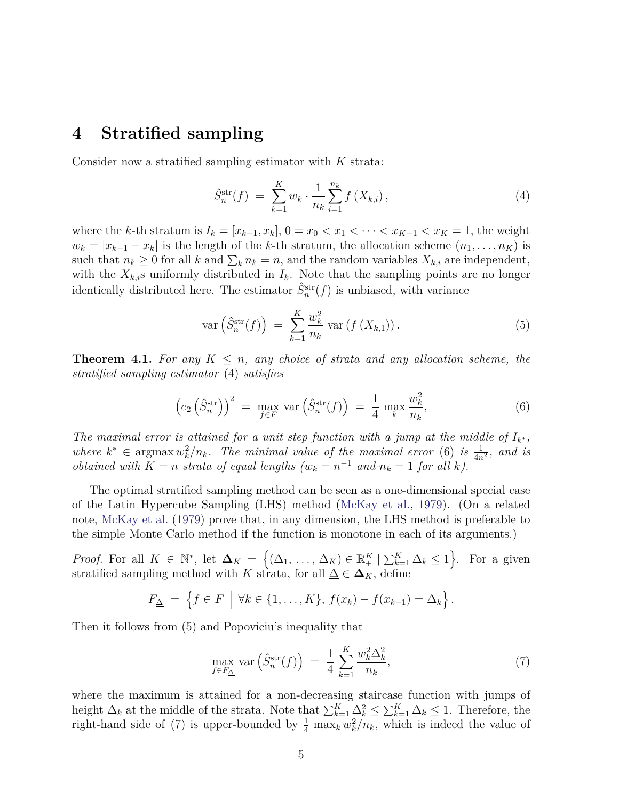### **4 Stratified sampling**

Consider now a stratified sampling estimator with *K* strata:

$$
\hat{S}_n^{\text{str}}(f) \ = \ \sum_{k=1}^K w_k \cdot \frac{1}{n_k} \sum_{i=1}^{n_k} f\left(X_{k,i}\right),\tag{4}
$$

where the *k*-th stratum is  $I_k = [x_{k-1}, x_k], 0 = x_0 < x_1 < \cdots < x_{K-1} < x_K = 1$ , the weight  $w_k = |x_{k-1} - x_k|$  is the length of the *k*-th stratum, the allocation scheme  $(n_1, \ldots, n_K)$  is such that  $n_k \geq 0$  for all *k* and  $\sum_k n_k = n$ , and the random variables  $X_{k,i}$  are independent, with the  $X_{k,i}$ s uniformly distributed in  $I_k$ . Note that the sampling points are no longer identically distributed here. The estimator  $\hat{S}_n^{\text{str}}(f)$  is unbiased, with variance

$$
\operatorname{var}\left(\hat{S}_n^{\text{str}}(f)\right) \ = \ \sum_{k=1}^K \frac{w_k^2}{n_k} \operatorname{var}\left(f\left(X_{k,1}\right)\right). \tag{5}
$$

**Theorem 4.1.** For any  $K \leq n$ , any choice of strata and any allocation scheme, the *stratified sampling estimator* (4) *satisfies*

$$
\left(e_2\left(\hat{S}_n^{\text{str}}\right)\right)^2 = \max_{f \in F} \text{var}\left(\hat{S}_n^{\text{str}}(f)\right) = \frac{1}{4} \max_k \frac{w_k^2}{n_k},\tag{6}
$$

*The maximal error is attained for a unit step function with a jump at the middle of*  $I_{k^*}$ , *where*  $k^* \in \text{argmax } w_k^2/n_k$ . The minimal value of the maximal error (6) is  $\frac{1}{4n^2}$ , and is *obtained with*  $K = n$  *strata of equal lengths*  $(w_k = n^{-1}$  *and*  $n_k = 1$  *for all k)*.

The optimal stratified sampling method can be seen as a one-dimensional special case of the Latin Hypercube Sampling (LHS) method (McKay et al., 1979). (On a related note, McKay et al. (1979) prove that, in any dimension, the LHS method is preferable to the simple Monte Carlo method if the function is monotone in each of its arguments.)

*Proof.* For all  $K \in \mathbb{N}^*$ , let  $\Delta_K = \{(\Delta_1, \ldots, \Delta_K) \in \mathbb{R}_+^K \mid \sum_{k=1}^K \Delta_k \leq 1\}$ . For a given stratified sampling method with *K* strata, for all  $\underline{\Delta} \in \Delta_K$ , define

$$
F_{\underline{\Delta}} = \left\{ f \in F \mid \forall k \in \{1, \ldots, K\}, \, f(x_k) - f(x_{k-1}) = \Delta_k \right\}.
$$

Then it follows from (5) and Popoviciu's inequality that

$$
\max_{f \in F_{\underline{\Delta}}} \text{var}\left(\hat{S}_n^{\text{str}}(f)\right) \ = \ \frac{1}{4} \sum_{k=1}^{K} \frac{w_k^2 \Delta_k^2}{n_k},\tag{7}
$$

where the maximum is attained for a non-decreasing staircase function with jumps of height  $\Delta_k$  at the middle of the strata. Note that  $\sum_{k=1}^K \Delta_k^2 \leq \sum_{k=1}^K \Delta_k \leq 1$ . Therefore, the right-hand side of (7) is upper-bounded by  $\frac{1}{4} \max_k w_k^2/n_k$ , which is indeed the value of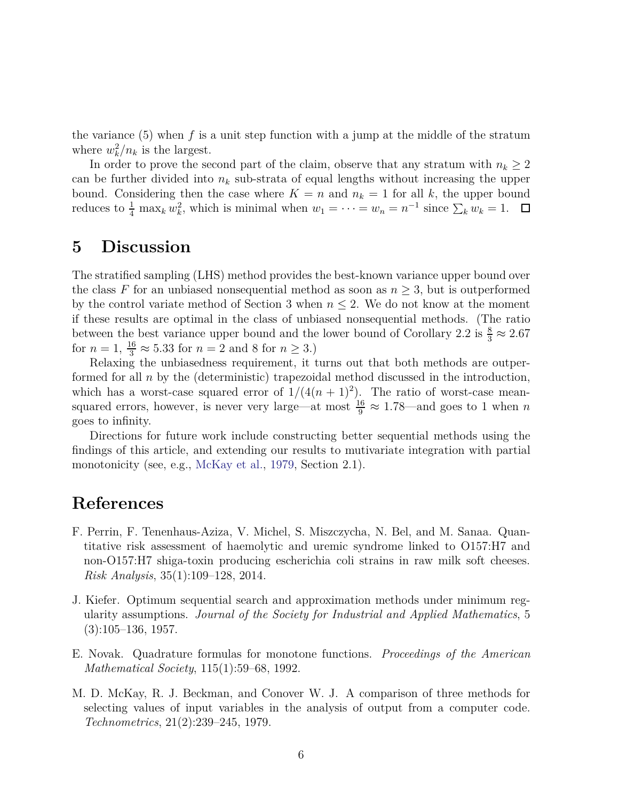the variance (5) when *f* is a unit step function with a jump at the middle of the stratum where  $w_k^2/n_k$  is the largest.

In order to prove the second part of the claim, observe that any stratum with  $n_k \geq 2$ can be further divided into  $n_k$  sub-strata of equal lengths without increasing the upper bound. Considering then the case where  $K = n$  and  $n_k = 1$  for all k, the upper bound reduces to  $\frac{1}{4}$  max<sub>*k*</sub>  $w_k^2$ , which is minimal when  $w_1 = \cdots = w_n = n^{-1}$  since  $\sum_k w_k = 1$ .

### **5 Discussion**

The stratified sampling (LHS) method provides the best-known variance upper bound over the class  $F$  for an unbiased nonsequential method as soon as  $n \geq 3$ , but is outperformed by the control variate method of Section 3 when  $n \leq 2$ . We do not know at the moment if these results are optimal in the class of unbiased nonsequential methods. (The ratio between the best variance upper bound and the lower bound of Corollary 2.2 is  $\frac{8}{3} \approx 2.67$ for  $n = 1$ ,  $\frac{16}{3} \approx 5.33$  for  $n = 2$  and 8 for  $n \ge 3$ .)

Relaxing the unbiasedness requirement, it turns out that both methods are outperformed for all *n* by the (deterministic) trapezoidal method discussed in the introduction, which has a worst-case squared error of  $1/(4(n+1)^2)$ . The ratio of worst-case meansquared errors, however, is never very large—at most  $\frac{16}{9} \approx 1.78$ —and goes to 1 when *n* goes to infinity.

Directions for future work include constructing better sequential methods using the findings of this article, and extending our results to mutivariate integration with partial monotonicity (see, e.g., McKay et al., 1979, Section 2.1).

### **References**

- F. Perrin, F. Tenenhaus-Aziza, V. Michel, S. Miszczycha, N. Bel, and M. Sanaa. Quantitative risk assessment of haemolytic and uremic syndrome linked to O157:H7 and non-O157:H7 shiga-toxin producing escherichia coli strains in raw milk soft cheeses. *Risk Analysis*, 35(1):109–128, 2014.
- J. Kiefer. Optimum sequential search and approximation methods under minimum regularity assumptions. *Journal of the Society for Industrial and Applied Mathematics*, 5 (3):105–136, 1957.
- E. Novak. Quadrature formulas for monotone functions. *Proceedings of the American Mathematical Society*, 115(1):59–68, 1992.
- M. D. McKay, R. J. Beckman, and Conover W. J. A comparison of three methods for selecting values of input variables in the analysis of output from a computer code. *Technometrics*, 21(2):239–245, 1979.